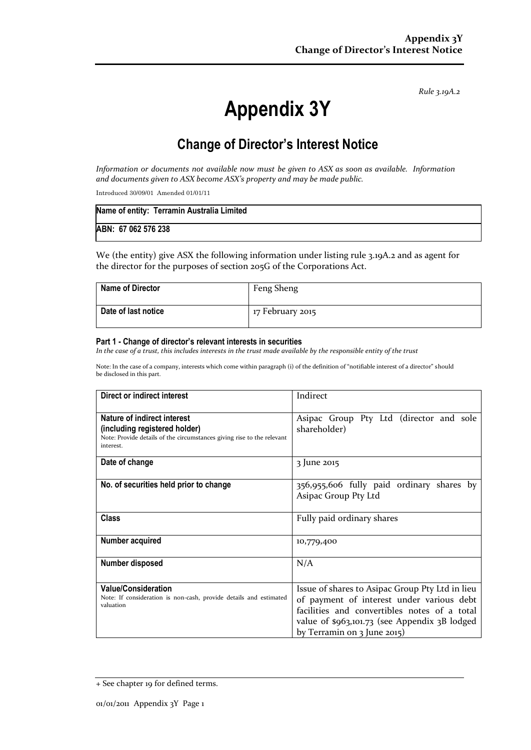*Rule 3.19A.2*

# **Appendix 3Y**

# **Change of Director's Interest Notice**

*Information or documents not available now must be given to ASX as soon as available. Information and documents given to ASX become ASX's property and may be made public.*

Introduced 30/09/01 Amended 01/01/11

| Name of entity: Terramin Australia Limited |  |
|--------------------------------------------|--|
| ABN: 67 062 576 238                        |  |

We (the entity) give ASX the following information under listing rule 3.19A.2 and as agent for the director for the purposes of section 205G of the Corporations Act.

| <b>Name of Director</b> | Feng Sheng       |
|-------------------------|------------------|
| Date of last notice     | 17 February 2015 |

#### **Part 1 - Change of director's relevant interests in securities**

*In the case of a trust, this includes interests in the trust made available by the responsible entity of the trust*

Note: In the case of a company, interests which come within paragraph (i) of the definition of "notifiable interest of a director" should be disclosed in this part.

| Direct or indirect interest                                                                                                                                | Indirect                                                                                                                                                                                                                                            |
|------------------------------------------------------------------------------------------------------------------------------------------------------------|-----------------------------------------------------------------------------------------------------------------------------------------------------------------------------------------------------------------------------------------------------|
| <b>Nature of indirect interest</b><br>(including registered holder)<br>Note: Provide details of the circumstances giving rise to the relevant<br>interest. | Asipac Group Pty Ltd (director and sole<br>shareholder)                                                                                                                                                                                             |
| Date of change                                                                                                                                             | 3 June 2015                                                                                                                                                                                                                                         |
| No. of securities held prior to change                                                                                                                     | 356,955,606 fully paid ordinary shares by<br>Asipac Group Pty Ltd                                                                                                                                                                                   |
| Class                                                                                                                                                      | Fully paid ordinary shares                                                                                                                                                                                                                          |
| Number acquired                                                                                                                                            | 10,779,400                                                                                                                                                                                                                                          |
| <b>Number disposed</b>                                                                                                                                     | N/A                                                                                                                                                                                                                                                 |
| <b>Value/Consideration</b><br>Note: If consideration is non-cash, provide details and estimated<br>valuation                                               | Issue of shares to Asipac Group Pty Ltd in lieu<br>of payment of interest under various debt<br>facilities and convertibles notes of a total<br>value of $\frac{6}{3}$ , vol. 73 (see Appendix 3B lodged<br>by Terramin on $\frac{1}{2}$ June 2015) |

<sup>+</sup> See chapter 19 for defined terms.